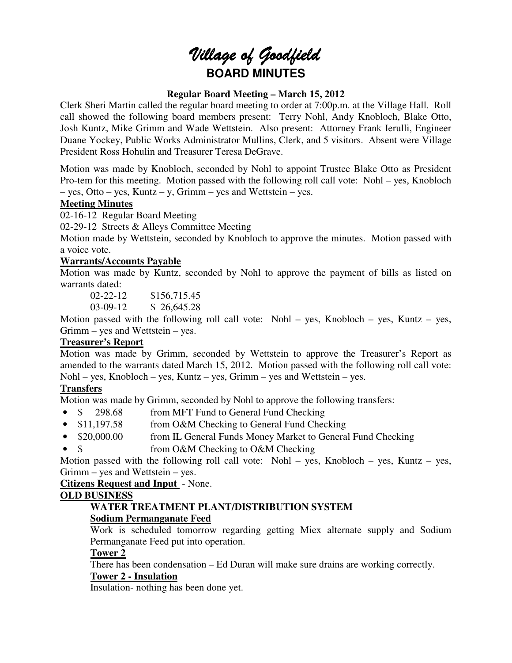# Village of Goodfield **BOARD MINUTES**

# **Regular Board Meeting – March 15, 2012**

Clerk Sheri Martin called the regular board meeting to order at 7:00p.m. at the Village Hall. Roll call showed the following board members present: Terry Nohl, Andy Knobloch, Blake Otto, Josh Kuntz, Mike Grimm and Wade Wettstein. Also present: Attorney Frank Ierulli, Engineer Duane Yockey, Public Works Administrator Mullins, Clerk, and 5 visitors. Absent were Village President Ross Hohulin and Treasurer Teresa DeGrave.

Motion was made by Knobloch, seconded by Nohl to appoint Trustee Blake Otto as President Pro-tem for this meeting. Motion passed with the following roll call vote: Nohl – yes, Knobloch – yes, Otto – yes, Kuntz – y, Grimm – yes and Wettstein – yes.

# **Meeting Minutes**

02-16-12 Regular Board Meeting

02-29-12 Streets & Alleys Committee Meeting

Motion made by Wettstein, seconded by Knobloch to approve the minutes. Motion passed with a voice vote.

# **Warrants/Accounts Payable**

Motion was made by Kuntz, seconded by Nohl to approve the payment of bills as listed on warrants dated:

02-22-12 \$156,715.45

03-09-12 \$ 26,645.28

Motion passed with the following roll call vote: Nohl – yes, Knobloch – yes, Kuntz – yes, Grimm – yes and Wettstein – yes.

# **Treasurer's Report**

Motion was made by Grimm, seconded by Wettstein to approve the Treasurer's Report as amended to the warrants dated March 15, 2012. Motion passed with the following roll call vote: Nohl – yes, Knobloch – yes, Kuntz – yes, Grimm – yes and Wettstein – yes.

# **Transfers**

Motion was made by Grimm, seconded by Nohl to approve the following transfers:

- \$ 298.68 from MFT Fund to General Fund Checking
- \$11,197.58 from O&M Checking to General Fund Checking
- \$20,000.00 from IL General Funds Money Market to General Fund Checking
- \$ from O&M Checking to O&M Checking

Motion passed with the following roll call vote: Nohl – yes, Knobloch – yes, Kuntz – yes, Grimm – yes and Wettstein – yes.

**Citizens Request and Input** - None.

# **OLD BUSINESS**

# **WATER TREATMENT PLANT/DISTRIBUTION SYSTEM Sodium Permanganate Feed**

Work is scheduled tomorrow regarding getting Miex alternate supply and Sodium Permanganate Feed put into operation.

# **Tower 2**

There has been condensation – Ed Duran will make sure drains are working correctly.

# **Tower 2 - Insulation**

Insulation- nothing has been done yet.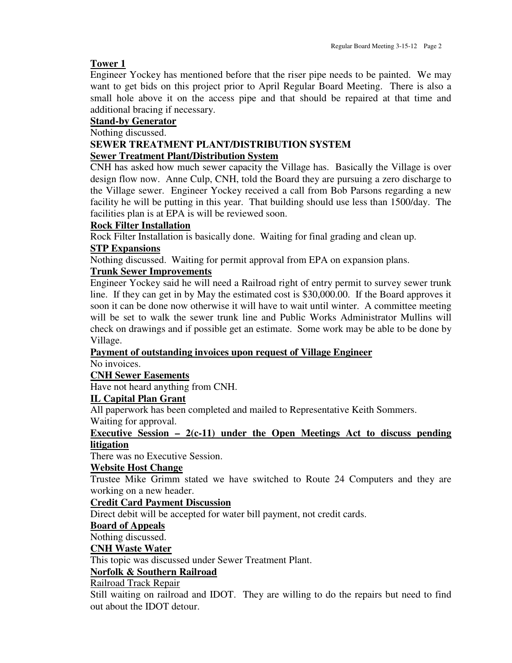#### **Tower 1**

Engineer Yockey has mentioned before that the riser pipe needs to be painted. We may want to get bids on this project prior to April Regular Board Meeting. There is also a small hole above it on the access pipe and that should be repaired at that time and additional bracing if necessary.

# **Stand-by Generator**

Nothing discussed.

# **SEWER TREATMENT PLANT/DISTRIBUTION SYSTEM Sewer Treatment Plant/Distribution System**

CNH has asked how much sewer capacity the Village has. Basically the Village is over design flow now. Anne Culp, CNH, told the Board they are pursuing a zero discharge to the Village sewer. Engineer Yockey received a call from Bob Parsons regarding a new facility he will be putting in this year. That building should use less than 1500/day. The facilities plan is at EPA is will be reviewed soon.

### **Rock Filter Installation**

Rock Filter Installation is basically done. Waiting for final grading and clean up.

### **STP Expansions**

Nothing discussed. Waiting for permit approval from EPA on expansion plans.

# **Trunk Sewer Improvements**

Engineer Yockey said he will need a Railroad right of entry permit to survey sewer trunk line. If they can get in by May the estimated cost is \$30,000.00. If the Board approves it soon it can be done now otherwise it will have to wait until winter. A committee meeting will be set to walk the sewer trunk line and Public Works Administrator Mullins will check on drawings and if possible get an estimate. Some work may be able to be done by Village.

#### **Payment of outstanding invoices upon request of Village Engineer**

No invoices.

#### **CNH Sewer Easements**

Have not heard anything from CNH.

# **IL Capital Plan Grant**

All paperwork has been completed and mailed to Representative Keith Sommers. Waiting for approval.

# **Executive Session – 2(c-11) under the Open Meetings Act to discuss pending litigation**

There was no Executive Session.

#### **Website Host Change**

Trustee Mike Grimm stated we have switched to Route 24 Computers and they are working on a new header.

#### **Credit Card Payment Discussion**

Direct debit will be accepted for water bill payment, not credit cards.

#### **Board of Appeals**

Nothing discussed.

#### **CNH Waste Water**

This topic was discussed under Sewer Treatment Plant.

# **Norfolk & Southern Railroad**

#### Railroad Track Repair

Still waiting on railroad and IDOT. They are willing to do the repairs but need to find out about the IDOT detour.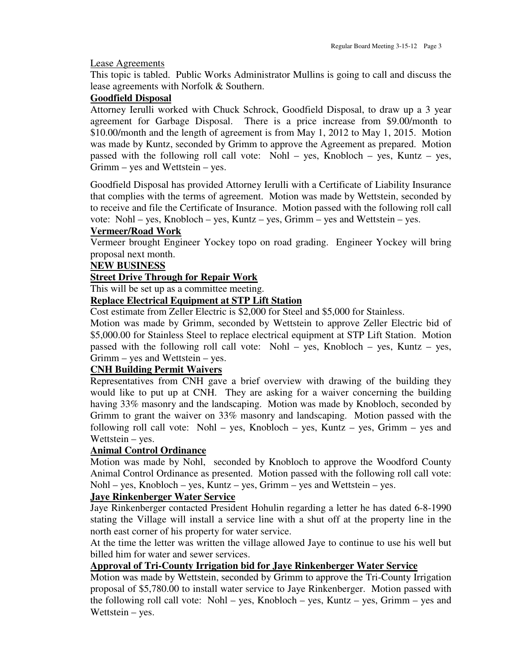#### Lease Agreements

This topic is tabled. Public Works Administrator Mullins is going to call and discuss the lease agreements with Norfolk & Southern.

# **Goodfield Disposal**

Attorney Ierulli worked with Chuck Schrock, Goodfield Disposal, to draw up a 3 year agreement for Garbage Disposal. There is a price increase from \$9.00/month to \$10.00/month and the length of agreement is from May 1, 2012 to May 1, 2015. Motion was made by Kuntz, seconded by Grimm to approve the Agreement as prepared. Motion passed with the following roll call vote: Nohl – yes, Knobloch – yes, Kuntz – yes, Grimm – yes and Wettstein – yes.

Goodfield Disposal has provided Attorney Ierulli with a Certificate of Liability Insurance that complies with the terms of agreement. Motion was made by Wettstein, seconded by to receive and file the Certificate of Insurance. Motion passed with the following roll call vote: Nohl – yes, Knobloch – yes, Kuntz – yes, Grimm – yes and Wettstein – yes.

# **Vermeer/Road Work**

Vermeer brought Engineer Yockey topo on road grading. Engineer Yockey will bring proposal next month.

#### **NEW BUSINESS**

### **Street Drive Through for Repair Work**

This will be set up as a committee meeting.

# **Replace Electrical Equipment at STP Lift Station**

Cost estimate from Zeller Electric is \$2,000 for Steel and \$5,000 for Stainless.

Motion was made by Grimm, seconded by Wettstein to approve Zeller Electric bid of \$5,000.00 for Stainless Steel to replace electrical equipment at STP Lift Station. Motion passed with the following roll call vote: Nohl – yes, Knobloch – yes, Kuntz – yes, Grimm – yes and Wettstein – yes.

#### **CNH Building Permit Waivers**

Representatives from CNH gave a brief overview with drawing of the building they would like to put up at CNH. They are asking for a waiver concerning the building having 33% masonry and the landscaping. Motion was made by Knobloch, seconded by Grimm to grant the waiver on 33% masonry and landscaping. Motion passed with the following roll call vote: Nohl – yes, Knobloch – yes, Kuntz – yes, Grimm – yes and Wettstein – yes.

# **Animal Control Ordinance**

Motion was made by Nohl, seconded by Knobloch to approve the Woodford County Animal Control Ordinance as presented. Motion passed with the following roll call vote: Nohl – yes, Knobloch – yes, Kuntz – yes, Grimm – yes and Wettstein – yes.

#### **Jaye Rinkenberger Water Service**

Jaye Rinkenberger contacted President Hohulin regarding a letter he has dated 6-8-1990 stating the Village will install a service line with a shut off at the property line in the north east corner of his property for water service.

At the time the letter was written the village allowed Jaye to continue to use his well but billed him for water and sewer services.

# **Approval of Tri-County Irrigation bid for Jaye Rinkenberger Water Service**

Motion was made by Wettstein, seconded by Grimm to approve the Tri-County Irrigation proposal of \$5,780.00 to install water service to Jaye Rinkenberger. Motion passed with the following roll call vote: Nohl – yes, Knobloch – yes, Kuntz – yes, Grimm – yes and Wettstein – yes.